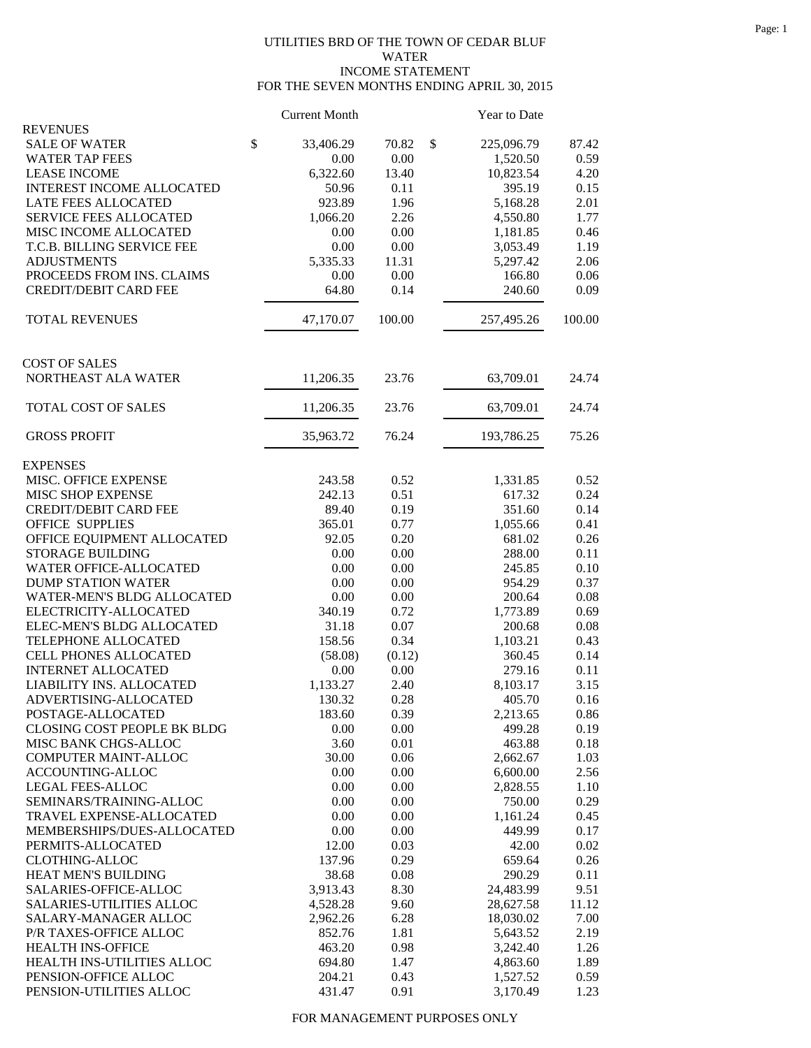## UTILITIES BRD OF THE TOWN OF CEDAR BLUF WATER INCOME STATEMENT FOR THE SEVEN MONTHS ENDING APRIL 30, 2015

|                                                  | <b>Current Month</b> |              | Year to Date       |              |
|--------------------------------------------------|----------------------|--------------|--------------------|--------------|
| <b>REVENUES</b>                                  |                      |              |                    |              |
| <b>SALE OF WATER</b>                             | \$<br>33,406.29      | 70.82        | \$<br>225,096.79   | 87.42        |
| <b>WATER TAP FEES</b>                            | 0.00                 | 0.00         | 1,520.50           | 0.59         |
| <b>LEASE INCOME</b>                              | 6,322.60             | 13.40        | 10,823.54          | 4.20         |
| <b>INTEREST INCOME ALLOCATED</b>                 | 50.96                | 0.11         | 395.19             | 0.15         |
| LATE FEES ALLOCATED                              | 923.89               | 1.96         | 5,168.28           | 2.01         |
| SERVICE FEES ALLOCATED                           | 1,066.20             | 2.26         | 4,550.80           | 1.77         |
| MISC INCOME ALLOCATED                            | 0.00                 | 0.00         | 1,181.85           | 0.46         |
| T.C.B. BILLING SERVICE FEE                       | 0.00                 | 0.00         | 3,053.49           | 1.19         |
| <b>ADJUSTMENTS</b>                               | 5,335.33             | 11.31        | 5,297.42           | 2.06         |
| PROCEEDS FROM INS. CLAIMS                        | 0.00                 | 0.00         | 166.80             | 0.06         |
| <b>CREDIT/DEBIT CARD FEE</b>                     | 64.80                | 0.14         | 240.60             | 0.09         |
| <b>TOTAL REVENUES</b>                            | 47,170.07            | 100.00       | 257,495.26         | 100.00       |
|                                                  |                      |              |                    |              |
| <b>COST OF SALES</b>                             |                      |              |                    |              |
| NORTHEAST ALA WATER                              | 11,206.35            | 23.76        | 63,709.01          | 24.74        |
| TOTAL COST OF SALES                              | 11,206.35            | 23.76        | 63,709.01          | 24.74        |
| <b>GROSS PROFIT</b>                              | 35,963.72            | 76.24        | 193,786.25         | 75.26        |
| <b>EXPENSES</b>                                  |                      |              |                    |              |
| MISC. OFFICE EXPENSE                             | 243.58               | 0.52         | 1,331.85           | 0.52         |
| MISC SHOP EXPENSE                                | 242.13               | 0.51         | 617.32             | 0.24         |
| <b>CREDIT/DEBIT CARD FEE</b>                     | 89.40                | 0.19         | 351.60             | 0.14         |
| <b>OFFICE SUPPLIES</b>                           | 365.01               | 0.77         | 1,055.66           | 0.41         |
| OFFICE EQUIPMENT ALLOCATED                       | 92.05                | 0.20         | 681.02             | 0.26         |
| <b>STORAGE BUILDING</b>                          | 0.00                 | 0.00         | 288.00             | 0.11         |
| WATER OFFICE-ALLOCATED                           | 0.00                 | 0.00         | 245.85             | 0.10         |
| <b>DUMP STATION WATER</b>                        | 0.00                 | 0.00         | 954.29             | 0.37         |
| WATER-MEN'S BLDG ALLOCATED                       | 0.00                 | 0.00         | 200.64             | 0.08         |
| ELECTRICITY-ALLOCATED                            | 340.19               | 0.72         | 1,773.89           | 0.69         |
| ELEC-MEN'S BLDG ALLOCATED                        | 31.18                | 0.07         | 200.68             | 0.08         |
| TELEPHONE ALLOCATED                              | 158.56               | 0.34         | 1,103.21           | 0.43         |
| CELL PHONES ALLOCATED                            | (58.08)              | (0.12)       | 360.45             | 0.14         |
| <b>INTERNET ALLOCATED</b>                        | 0.00                 | 0.00         | 279.16             | 0.11         |
| LIABILITY INS. ALLOCATED                         | 1,133.27             | 2.40         | 8,103.17           | 3.15         |
| ADVERTISING-ALLOCATED                            | 130.32               | $0.28\,$     | 405.70             | 0.16         |
| POSTAGE-ALLOCATED<br>CLOSING COST PEOPLE BK BLDG | 183.60<br>0.00       | 0.39<br>0.00 | 2,213.65<br>499.28 | 0.86<br>0.19 |
| MISC BANK CHGS-ALLOC                             | 3.60                 | 0.01         | 463.88             | 0.18         |
| COMPUTER MAINT-ALLOC                             | 30.00                | 0.06         | 2,662.67           | 1.03         |
| ACCOUNTING-ALLOC                                 | 0.00                 | 0.00         | 6,600.00           | 2.56         |
| <b>LEGAL FEES-ALLOC</b>                          | 0.00                 | 0.00         | 2,828.55           | 1.10         |
| SEMINARS/TRAINING-ALLOC                          | 0.00                 | 0.00         | 750.00             | 0.29         |
| TRAVEL EXPENSE-ALLOCATED                         | 0.00                 | 0.00         | 1,161.24           | 0.45         |
| MEMBERSHIPS/DUES-ALLOCATED                       | 0.00                 | 0.00         | 449.99             | 0.17         |
| PERMITS-ALLOCATED                                | 12.00                | 0.03         | 42.00              | 0.02         |
| <b>CLOTHING-ALLOC</b>                            | 137.96               | 0.29         | 659.64             | 0.26         |
| HEAT MEN'S BUILDING                              | 38.68                | 0.08         | 290.29             | 0.11         |
| SALARIES-OFFICE-ALLOC                            | 3,913.43             | 8.30         | 24,483.99          | 9.51         |
| SALARIES-UTILITIES ALLOC                         | 4,528.28             | 9.60         | 28,627.58          | 11.12        |
| SALARY-MANAGER ALLOC                             | 2,962.26             | 6.28         | 18,030.02          | 7.00         |
| P/R TAXES-OFFICE ALLOC                           | 852.76               | 1.81         | 5,643.52           | 2.19         |
| HEALTH INS-OFFICE                                | 463.20               | 0.98         | 3,242.40           | 1.26         |
| HEALTH INS-UTILITIES ALLOC                       | 694.80               | 1.47         | 4,863.60           | 1.89         |
| PENSION-OFFICE ALLOC                             | 204.21               | 0.43         | 1,527.52           | 0.59         |
| PENSION-UTILITIES ALLOC                          | 431.47               | 0.91         | 3,170.49           | 1.23         |